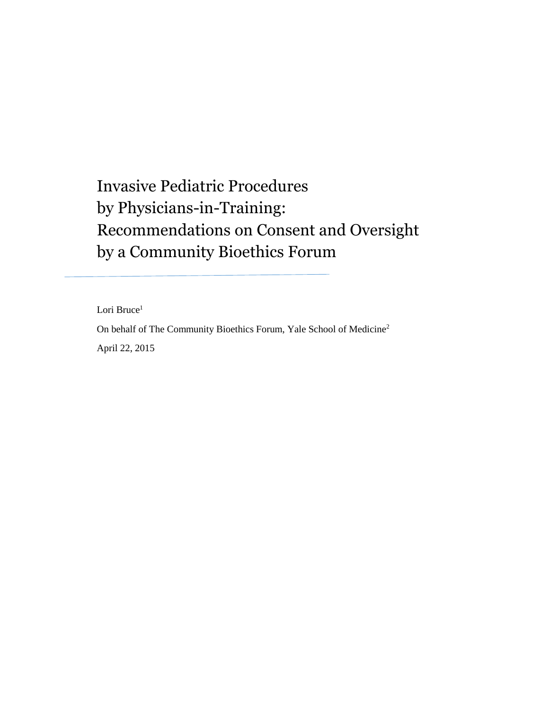# Invasive Pediatric Procedures by Physicians-in-Training: Recommendations on Consent and Oversight by a Community Bioethics Forum

Lori Bruce<sup>1</sup>

On behalf of The Community Bioethics Forum, Yale School of Medicine<sup>2</sup> April 22, 2015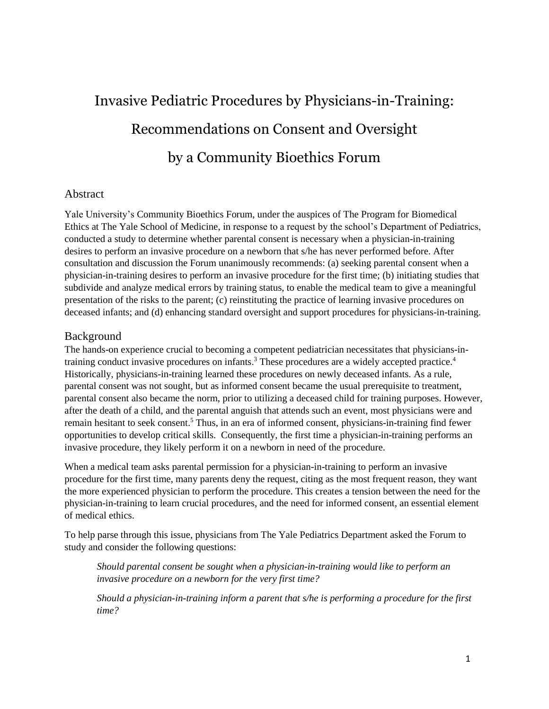# Invasive Pediatric Procedures by Physicians-in-Training: Recommendations on Consent and Oversight by a Community Bioethics Forum

#### Abstract

Yale University's Community Bioethics Forum, under the auspices of The Program for Biomedical Ethics at The Yale School of Medicine, in response to a request by the school's Department of Pediatrics, conducted a study to determine whether parental consent is necessary when a physician-in-training desires to perform an invasive procedure on a newborn that s/he has never performed before. After consultation and discussion the Forum unanimously recommends: (a) seeking parental consent when a physician-in-training desires to perform an invasive procedure for the first time; (b) initiating studies that subdivide and analyze medical errors by training status, to enable the medical team to give a meaningful presentation of the risks to the parent; (c) reinstituting the practice of learning invasive procedures on deceased infants; and (d) enhancing standard oversight and support procedures for physicians-in-training.

#### Background

The hands-on experience crucial to becoming a competent pediatrician necessitates that physicians-intraining conduct invasive procedures on infants.<sup>3</sup> These procedures are a widely accepted practice.<sup>4</sup> Historically, physicians-in-training learned these procedures on newly deceased infants. As a rule, parental consent was not sought, but as informed consent became the usual prerequisite to treatment, parental consent also became the norm, prior to utilizing a deceased child for training purposes. However, after the death of a child, and the parental anguish that attends such an event, most physicians were and remain hesitant to seek consent.<sup>5</sup> Thus, in an era of informed consent, physicians-in-training find fewer opportunities to develop critical skills. Consequently, the first time a physician-in-training performs an invasive procedure, they likely perform it on a newborn in need of the procedure.

When a medical team asks parental permission for a physician-in-training to perform an invasive procedure for the first time, many parents deny the request, citing as the most frequent reason, they want the more experienced physician to perform the procedure. This creates a tension between the need for the physician-in-training to learn crucial procedures, and the need for informed consent, an essential element of medical ethics.

To help parse through this issue, physicians from The Yale Pediatrics Department asked the Forum to study and consider the following questions:

*Should parental consent be sought when a physician-in-training would like to perform an invasive procedure on a newborn for the very first time?*

*Should a physician-in-training inform a parent that s/he is performing a procedure for the first time?*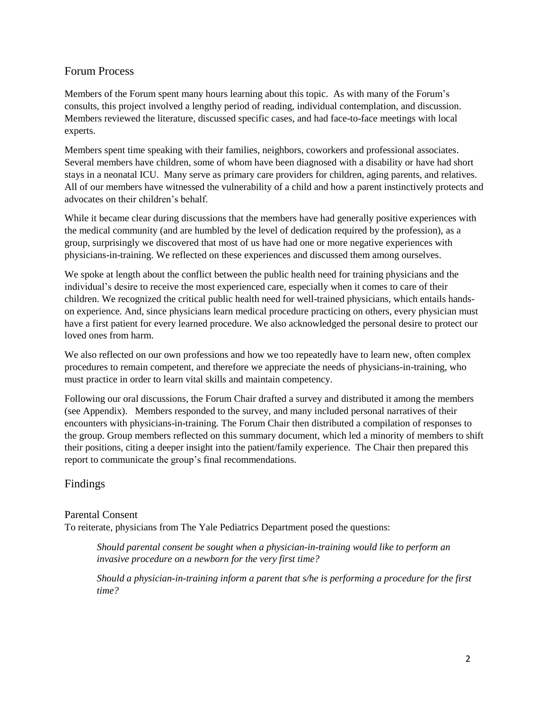#### Forum Process

Members of the Forum spent many hours learning about this topic. As with many of the Forum's consults, this project involved a lengthy period of reading, individual contemplation, and discussion. Members reviewed the literature, discussed specific cases, and had face-to-face meetings with local experts.

Members spent time speaking with their families, neighbors, coworkers and professional associates. Several members have children, some of whom have been diagnosed with a disability or have had short stays in a neonatal ICU. Many serve as primary care providers for children, aging parents, and relatives. All of our members have witnessed the vulnerability of a child and how a parent instinctively protects and advocates on their children's behalf.

While it became clear during discussions that the members have had generally positive experiences with the medical community (and are humbled by the level of dedication required by the profession), as a group, surprisingly we discovered that most of us have had one or more negative experiences with physicians-in-training. We reflected on these experiences and discussed them among ourselves.

We spoke at length about the conflict between the public health need for training physicians and the individual's desire to receive the most experienced care, especially when it comes to care of their children. We recognized the critical public health need for well-trained physicians, which entails handson experience. And, since physicians learn medical procedure practicing on others, every physician must have a first patient for every learned procedure. We also acknowledged the personal desire to protect our loved ones from harm.

We also reflected on our own professions and how we too repeatedly have to learn new, often complex procedures to remain competent, and therefore we appreciate the needs of physicians-in-training, who must practice in order to learn vital skills and maintain competency.

Following our oral discussions, the Forum Chair drafted a survey and distributed it among the members (see Appendix). Members responded to the survey, and many included personal narratives of their encounters with physicians-in-training. The Forum Chair then distributed a compilation of responses to the group. Group members reflected on this summary document, which led a minority of members to shift their positions, citing a deeper insight into the patient/family experience. The Chair then prepared this report to communicate the group's final recommendations.

# Findings

#### Parental Consent

To reiterate, physicians from The Yale Pediatrics Department posed the questions:

*Should parental consent be sought when a physician-in-training would like to perform an invasive procedure on a newborn for the very first time?*

*Should a physician-in-training inform a parent that s/he is performing a procedure for the first time?*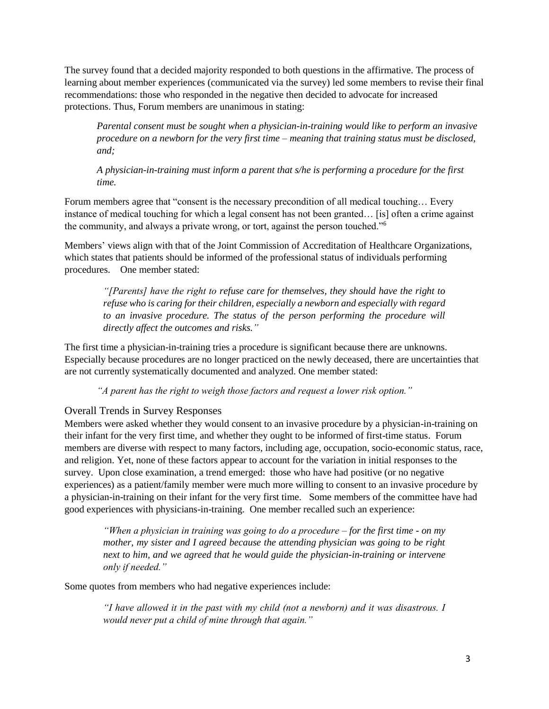The survey found that a decided majority responded to both questions in the affirmative. The process of learning about member experiences (communicated via the survey) led some members to revise their final recommendations: those who responded in the negative then decided to advocate for increased protections. Thus, Forum members are unanimous in stating:

*Parental consent must be sought when a physician-in-training would like to perform an invasive procedure on a newborn for the very first time – meaning that training status must be disclosed, and;*

*A physician-in-training must inform a parent that s/he is performing a procedure for the first time.*

Forum members agree that "consent is the necessary precondition of all medical touching… Every instance of medical touching for which a legal consent has not been granted… [is] often a crime against the community, and always a private wrong, or tort, against the person touched."<sup>6</sup>

Members' views align with that of the Joint Commission of Accreditation of Healthcare Organizations, which states that patients should be informed of the professional status of individuals performing procedures. One member stated:

*"[Parents] have the right to refuse care for themselves, they should have the right to refuse who is caring for their children, especially a newborn and especially with regard to an invasive procedure. The status of the person performing the procedure will directly affect the outcomes and risks."*

The first time a physician-in-training tries a procedure is significant because there are unknowns. Especially because procedures are no longer practiced on the newly deceased, there are uncertainties that are not currently systematically documented and analyzed. One member stated:

*"A parent has the right to weigh those factors and request a lower risk option."*

#### Overall Trends in Survey Responses

Members were asked whether they would consent to an invasive procedure by a physician-in-training on their infant for the very first time, and whether they ought to be informed of first-time status. Forum members are diverse with respect to many factors, including age, occupation, socio-economic status, race, and religion. Yet, none of these factors appear to account for the variation in initial responses to the survey. Upon close examination, a trend emerged: those who have had positive (or no negative experiences) as a patient/family member were much more willing to consent to an invasive procedure by a physician-in-training on their infant for the very first time. Some members of the committee have had good experiences with physicians-in-training. One member recalled such an experience:

*"When a physician in training was going to do a procedure – for the first time - on my mother, my sister and I agreed because the attending physician was going to be right next to him, and we agreed that he would guide the physician-in-training or intervene only if needed."*

Some quotes from members who had negative experiences include:

*"I have allowed it in the past with my child (not a newborn) and it was disastrous. I would never put a child of mine through that again."*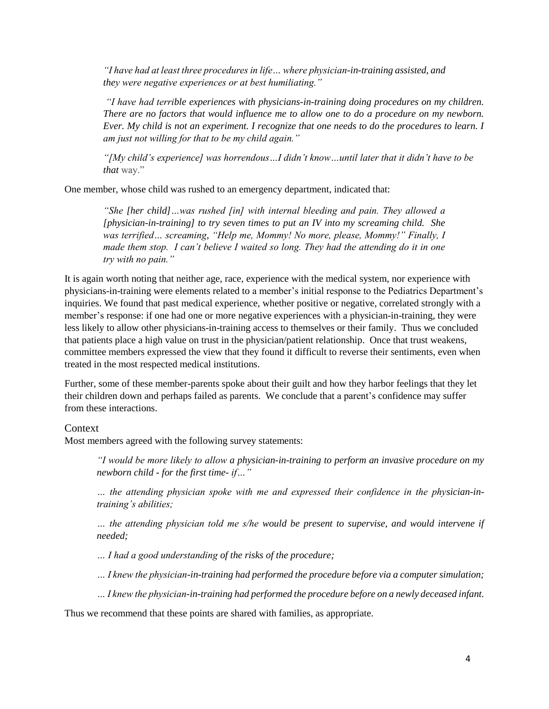*"I have had at least three procedures in life… where physician-in-training assisted, and they were negative experiences or at best humiliating."*

*"I have had terrible experiences with physicians-in-training doing procedures on my children. There are no factors that would influence me to allow one to do a procedure on my newborn. Ever. My child is not an experiment. I recognize that one needs to do the procedures to learn. I am just not willing for that to be my child again."*

*"[My child's experience] was horrendous…I didn't know…until later that it didn't have to be that* way."

One member, whose child was rushed to an emergency department, indicated that:

*"She [her child]…was rushed [in] with internal bleeding and pain. They allowed a [physician-in-training] to try seven times to put an IV into my screaming child. She was terrified… screaming, "Help me, Mommy! No more, please, Mommy!" Finally, I made them stop. I can't believe I waited so long. They had the attending do it in one try with no pain."*

It is again worth noting that neither age, race, experience with the medical system, nor experience with physicians-in-training were elements related to a member's initial response to the Pediatrics Department's inquiries. We found that past medical experience, whether positive or negative, correlated strongly with a member's response: if one had one or more negative experiences with a physician-in-training, they were less likely to allow other physicians-in-training access to themselves or their family. Thus we concluded that patients place a high value on trust in the physician/patient relationship. Once that trust weakens, committee members expressed the view that they found it difficult to reverse their sentiments, even when treated in the most respected medical institutions.

Further, some of these member-parents spoke about their guilt and how they harbor feelings that they let their children down and perhaps failed as parents. We conclude that a parent's confidence may suffer from these interactions.

#### **Context**

Most members agreed with the following survey statements:

*"I would be more likely to allow a physician-in-training to perform an invasive procedure on my newborn child - for the first time- if…"*

*… the attending physician spoke with me and expressed their confidence in the physician-intraining's abilities;*

*… the attending physician told me s/he would be present to supervise, and would intervene if needed;*

*… I had a good understanding of the risks of the procedure;* 

*… I knew the physician-in-training had performed the procedure before via a computer simulation;*

*… I knew the physician-in-training had performed the procedure before on a newly deceased infant.*

Thus we recommend that these points are shared with families, as appropriate.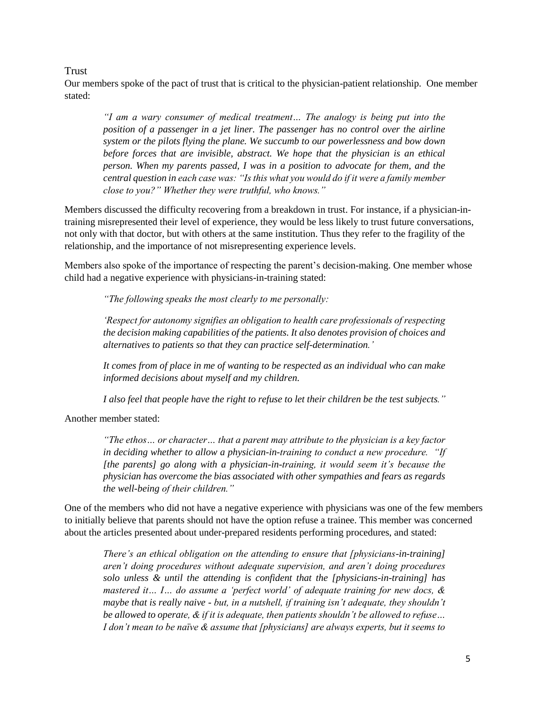#### Trust

Our members spoke of the pact of trust that is critical to the physician-patient relationship. One member stated:

*"I am a wary consumer of medical treatment… The analogy is being put into the position of a passenger in a jet liner. The passenger has no control over the airline system or the pilots flying the plane. We succumb to our powerlessness and bow down before forces that are invisible, abstract. We hope that the physician is an ethical person. When my parents passed, I was in a position to advocate for them, and the central question in each case was: "Is this what you would do if it were a family member close to you?" Whether they were truthful, who knows."*

Members discussed the difficulty recovering from a breakdown in trust. For instance, if a physician-intraining misrepresented their level of experience, they would be less likely to trust future conversations, not only with that doctor, but with others at the same institution. Thus they refer to the fragility of the relationship, and the importance of not misrepresenting experience levels.

Members also spoke of the importance of respecting the parent's decision-making. One member whose child had a negative experience with physicians-in-training stated:

*"The following speaks the most clearly to me personally:*

*'Respect for autonomy signifies an obligation to health care professionals of respecting the decision making capabilities of the patients. It also denotes provision of choices and alternatives to patients so that they can practice self-determination.'*

*It comes from of place in me of wanting to be respected as an individual who can make informed decisions about myself and my children.* 

*I also feel that people have the right to refuse to let their children be the test subjects."*

Another member stated:

*"The ethos… or character… that a parent may attribute to the physician is a key factor in deciding whether to allow a physician-in-training to conduct a new procedure. "If [the parents] go along with a physician-in-training, it would seem it's because the physician has overcome the bias associated with other sympathies and fears as regards the well-being of their children."*

One of the members who did not have a negative experience with physicians was one of the few members to initially believe that parents should not have the option refuse a trainee. This member was concerned about the articles presented about under-prepared residents performing procedures, and stated:

*There's an ethical obligation on the attending to ensure that [physicians-in-training] aren't doing procedures without adequate supervision, and aren't doing procedures solo unless & until the attending is confident that the [physicians-in-training] has mastered it… I… do assume a 'perfect world' of adequate training for new docs, & maybe that is really naive - but, in a nutshell, if training isn't adequate, they shouldn't be allowed to operate, & if it is adequate, then patients shouldn't be allowed to refuse… I don't mean to be naïve & assume that [physicians] are always experts, but it seems to*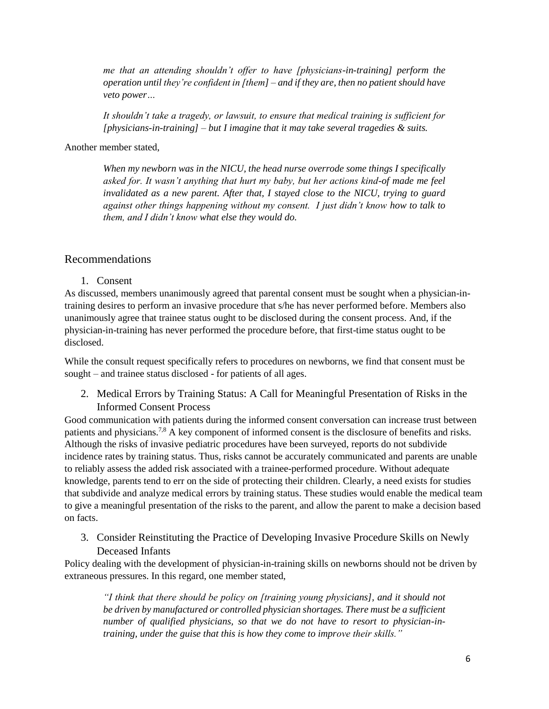*me that an attending shouldn't offer to have [physicians-in-training] perform the operation until they're confident in [them] – and if they are, then no patient should have veto power…* 

*It shouldn't take a tragedy, or lawsuit, to ensure that medical training is sufficient for [physicians-in-training] – but I imagine that it may take several tragedies & suits.* 

Another member stated,

*When my newborn was in the NICU, the head nurse overrode some things I specifically asked for. It wasn't anything that hurt my baby, but her actions kind-of made me feel invalidated as a new parent. After that, I stayed close to the NICU, trying to guard against other things happening without my consent. I just didn't know how to talk to them, and I didn't know what else they would do.*

# Recommendations

1. Consent

As discussed, members unanimously agreed that parental consent must be sought when a physician-intraining desires to perform an invasive procedure that s/he has never performed before. Members also unanimously agree that trainee status ought to be disclosed during the consent process. And, if the physician-in-training has never performed the procedure before, that first-time status ought to be disclosed.

While the consult request specifically refers to procedures on newborns, we find that consent must be sought – and trainee status disclosed - for patients of all ages.

2. Medical Errors by Training Status: A Call for Meaningful Presentation of Risks in the Informed Consent Process

Good communication with patients during the informed consent conversation can increase trust between patients and physicians.7,8 A key component of informed consent is the disclosure of benefits and risks. Although the risks of invasive pediatric procedures have been surveyed, reports do not subdivide incidence rates by training status. Thus, risks cannot be accurately communicated and parents are unable to reliably assess the added risk associated with a trainee-performed procedure. Without adequate knowledge, parents tend to err on the side of protecting their children. Clearly, a need exists for studies that subdivide and analyze medical errors by training status. These studies would enable the medical team to give a meaningful presentation of the risks to the parent, and allow the parent to make a decision based on facts.

3. Consider Reinstituting the Practice of Developing Invasive Procedure Skills on Newly Deceased Infants

Policy dealing with the development of physician-in-training skills on newborns should not be driven by extraneous pressures. In this regard, one member stated,

*"I think that there should be policy on [training young physicians], and it should not be driven by manufactured or controlled physician shortages. There must be a sufficient number of qualified physicians, so that we do not have to resort to physician-intraining, under the guise that this is how they come to improve their skills."*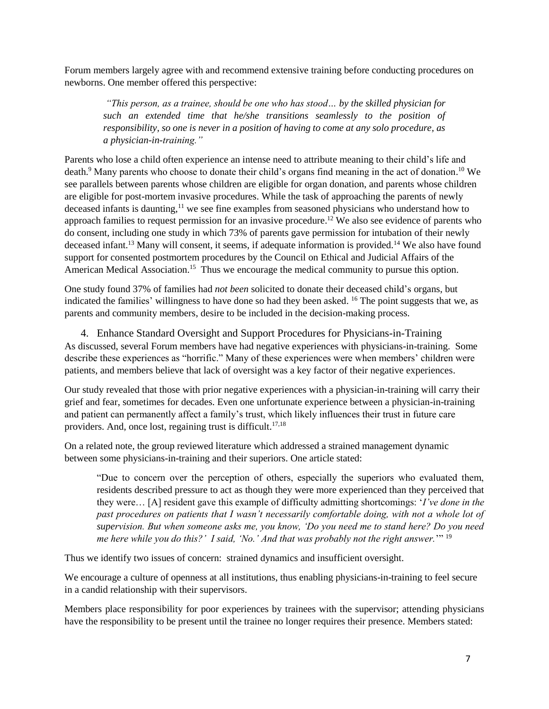Forum members largely agree with and recommend extensive training before conducting procedures on newborns. One member offered this perspective:

*"This person, as a trainee, should be one who has stood… by the skilled physician for such an extended time that he/she transitions seamlessly to the position of responsibility, so one is never in a position of having to come at any solo procedure, as a physician-in-training."*

Parents who lose a child often experience an intense need to attribute meaning to their child's life and death.<sup>9</sup> Many parents who choose to donate their child's organs find meaning in the act of donation.<sup>10</sup> We see parallels between parents whose children are eligible for organ donation, and parents whose children are eligible for post-mortem invasive procedures. While the task of approaching the parents of newly deceased infants is daunting,<sup>11</sup> we see fine examples from seasoned physicians who understand how to approach families to request permission for an invasive procedure.<sup>12</sup> We also see evidence of parents who do consent, including one study in which 73% of parents gave permission for intubation of their newly deceased infant.<sup>13</sup> Many will consent, it seems, if adequate information is provided.<sup>14</sup> We also have found support for consented postmortem procedures by the Council on Ethical and Judicial Affairs of the American Medical Association.<sup>15</sup> Thus we encourage the medical community to pursue this option.

One study found 37% of families had *not been* solicited to donate their deceased child's organs, but indicated the families' willingness to have done so had they been asked. <sup>16</sup> The point suggests that we, as parents and community members, desire to be included in the decision-making process.

4. Enhance Standard Oversight and Support Procedures for Physicians-in-Training As discussed, several Forum members have had negative experiences with physicians-in-training. Some describe these experiences as "horrific." Many of these experiences were when members' children were patients, and members believe that lack of oversight was a key factor of their negative experiences.

Our study revealed that those with prior negative experiences with a physician-in-training will carry their grief and fear, sometimes for decades. Even one unfortunate experience between a physician-in-training and patient can permanently affect a family's trust, which likely influences their trust in future care providers. And, once lost, regaining trust is difficult. $17,18$ 

On a related note, the group reviewed literature which addressed a strained management dynamic between some physicians-in-training and their superiors. One article stated:

"Due to concern over the perception of others, especially the superiors who evaluated them, residents described pressure to act as though they were more experienced than they perceived that they were… [A] resident gave this example of difficulty admitting shortcomings: '*I've done in the past procedures on patients that I wasn't necessarily comfortable doing, with not a whole lot of supervision. But when someone asks me, you know, 'Do you need me to stand here? Do you need me here while you do this?' I said, 'No.' And that was probably not the right answer.*'" <sup>19</sup>

Thus we identify two issues of concern: strained dynamics and insufficient oversight.

We encourage a culture of openness at all institutions, thus enabling physicians-in-training to feel secure in a candid relationship with their supervisors.

Members place responsibility for poor experiences by trainees with the supervisor; attending physicians have the responsibility to be present until the trainee no longer requires their presence. Members stated: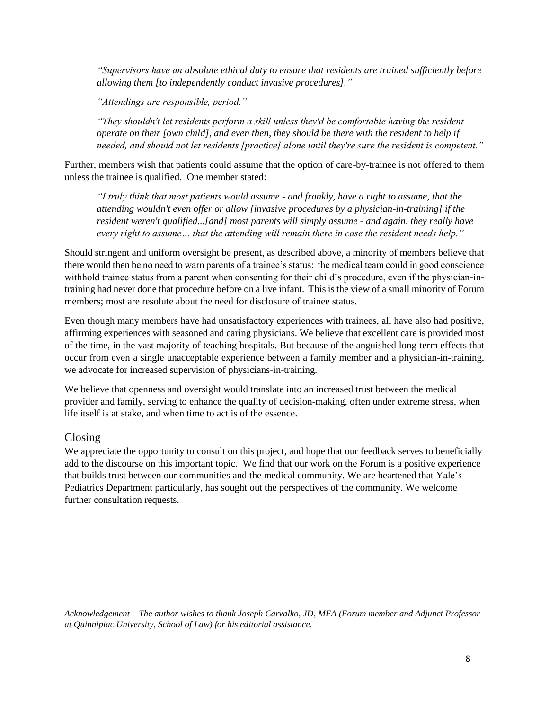*"Supervisors have an absolute ethical duty to ensure that residents are trained sufficiently before allowing them [to independently conduct invasive procedures]."*

*"Attendings are responsible, period."*

*"They shouldn't let residents perform a skill unless they'd be comfortable having the resident operate on their [own child], and even then, they should be there with the resident to help if needed, and should not let residents [practice] alone until they're sure the resident is competent."*

Further, members wish that patients could assume that the option of care-by-trainee is not offered to them unless the trainee is qualified. One member stated:

*"I truly think that most patients would assume - and frankly, have a right to assume, that the attending wouldn't even offer or allow [invasive procedures by a physician-in-training] if the resident weren't qualified...[and] most parents will simply assume - and again, they really have every right to assume… that the attending will remain there in case the resident needs help."*

Should stringent and uniform oversight be present, as described above, a minority of members believe that there would then be no need to warn parents of a trainee's status: the medical team could in good conscience withhold trainee status from a parent when consenting for their child's procedure, even if the physician-intraining had never done that procedure before on a live infant. This is the view of a small minority of Forum members; most are resolute about the need for disclosure of trainee status.

Even though many members have had unsatisfactory experiences with trainees, all have also had positive, affirming experiences with seasoned and caring physicians. We believe that excellent care is provided most of the time, in the vast majority of teaching hospitals. But because of the anguished long-term effects that occur from even a single unacceptable experience between a family member and a physician-in-training, we advocate for increased supervision of physicians-in-training.

We believe that openness and oversight would translate into an increased trust between the medical provider and family, serving to enhance the quality of decision-making, often under extreme stress, when life itself is at stake, and when time to act is of the essence.

# Closing

We appreciate the opportunity to consult on this project, and hope that our feedback serves to beneficially add to the discourse on this important topic. We find that our work on the Forum is a positive experience that builds trust between our communities and the medical community. We are heartened that Yale's Pediatrics Department particularly, has sought out the perspectives of the community. We welcome further consultation requests.

*Acknowledgement – The author wishes to thank Joseph Carvalko, JD, MFA (Forum member and Adjunct Professor at Quinnipiac University, School of Law) for his editorial assistance.*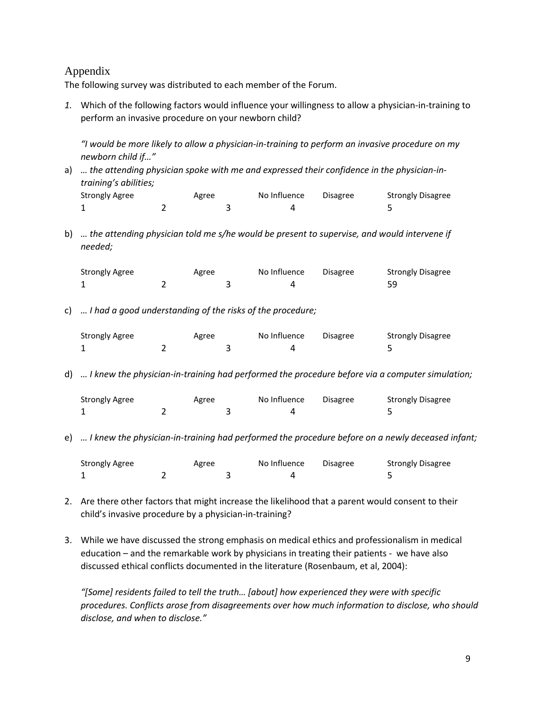# Appendix

The following survey was distributed to each member of the Forum.

*1.* Which of the following factors would influence your willingness to allow a physician-in-training to perform an invasive procedure on your newborn child?

*"I would be more likely to allow a physician-in-training to perform an invasive procedure on my newborn child if…"*

a) ... the attending physician spoke with me and expressed their confidence in the physician-in*training's abilities;*

| Strongly Agree | Agree | No Influence | Disagree | <b>Strongly Disagree</b> |
|----------------|-------|--------------|----------|--------------------------|
|                |       |              |          |                          |

b) *… the attending physician told me s/he would be present to supervise, and would intervene if needed;* 

| Strongly Agree | Agree | No Influence | <b>Disagree</b> | <b>Strongly Disagree</b> |
|----------------|-------|--------------|-----------------|--------------------------|
|                |       |              |                 | 59                       |

c) *… I had a good understanding of the risks of the procedure;* 

| <b>Strongly Agree</b> | Agree | No Influence | <b>Disagree</b> | <b>Strongly Disagree</b> |
|-----------------------|-------|--------------|-----------------|--------------------------|
|                       |       |              |                 |                          |

d) *… I knew the physician-in-training had performed the procedure before via a computer simulation;* 

| <b>Strongly Agree</b> | Agree | No Influence | Disagree | Strongly Disagree |
|-----------------------|-------|--------------|----------|-------------------|
|                       |       |              |          |                   |

e) *… I knew the physician-in-training had performed the procedure before on a newly deceased infant;* 

| Strongly Agree | Agree | No Influence | Disagree | <b>Strongly Disagree</b> |
|----------------|-------|--------------|----------|--------------------------|
|                |       |              |          |                          |

- 2. Are there other factors that might increase the likelihood that a parent would consent to their child's invasive procedure by a physician-in-training?
- 3. While we have discussed the strong emphasis on medical ethics and professionalism in medical education – and the remarkable work by physicians in treating their patients - we have also discussed ethical conflicts documented in the literature (Rosenbaum, et al, 2004):

*"[Some] residents failed to tell the truth… [about] how experienced they were with specific procedures. Conflicts arose from disagreements over how much information to disclose, who should disclose, and when to disclose."*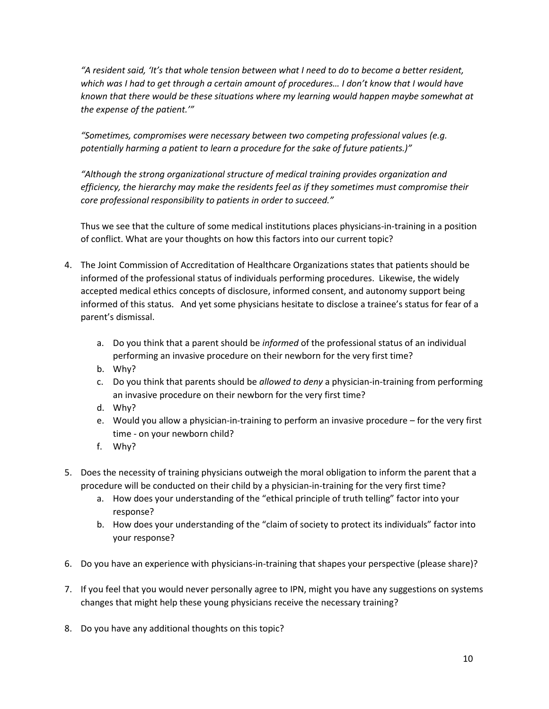*"A resident said, 'It's that whole tension between what I need to do to become a better resident, which was I had to get through a certain amount of procedures… I don't know that I would have known that there would be these situations where my learning would happen maybe somewhat at the expense of the patient.'"*

*"Sometimes, compromises were necessary between two competing professional values (e.g. potentially harming a patient to learn a procedure for the sake of future patients.)"*

*"Although the strong organizational structure of medical training provides organization and efficiency, the hierarchy may make the residents feel as if they sometimes must compromise their core professional responsibility to patients in order to succeed."*

Thus we see that the culture of some medical institutions places physicians-in-training in a position of conflict. What are your thoughts on how this factors into our current topic?

- 4. The Joint Commission of Accreditation of Healthcare Organizations states that patients should be informed of the professional status of individuals performing procedures. Likewise, the widely accepted medical ethics concepts of disclosure, informed consent, and autonomy support being informed of this status. And yet some physicians hesitate to disclose a trainee's status for fear of a parent's dismissal.
	- a. Do you think that a parent should be *informed* of the professional status of an individual performing an invasive procedure on their newborn for the very first time?
	- b. Why?
	- c. Do you think that parents should be *allowed to deny* a physician-in-training from performing an invasive procedure on their newborn for the very first time?
	- d. Why?
	- e. Would you allow a physician-in-training to perform an invasive procedure for the very first time - on your newborn child?
	- f. Why?
- 5. Does the necessity of training physicians outweigh the moral obligation to inform the parent that a procedure will be conducted on their child by a physician-in-training for the very first time?
	- a. How does your understanding of the "ethical principle of truth telling" factor into your response?
	- b. How does your understanding of the "claim of society to protect its individuals" factor into your response?
- 6. Do you have an experience with physicians-in-training that shapes your perspective (please share)?
- 7. If you feel that you would never personally agree to IPN, might you have any suggestions on systems changes that might help these young physicians receive the necessary training?
- 8. Do you have any additional thoughts on this topic?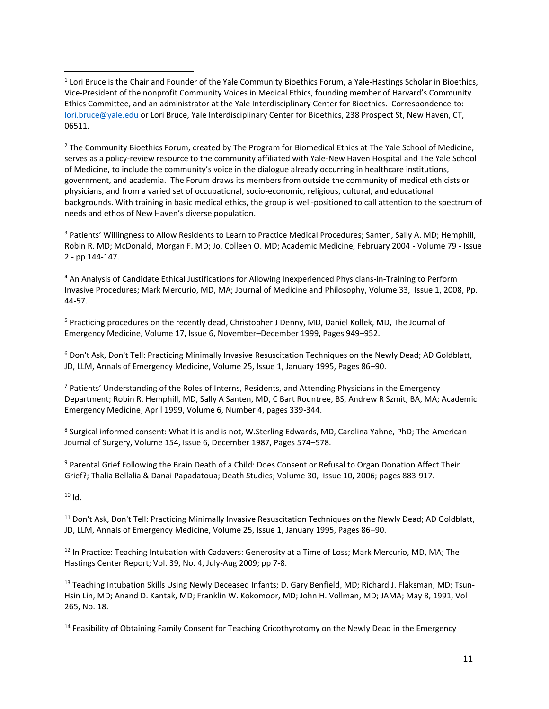<sup>2</sup> The Community Bioethics Forum, created by The Program for Biomedical Ethics at The Yale School of Medicine, serves as a policy-review resource to the community affiliated with Yale-New Haven Hospital and The Yale School of Medicine, to include the community's voice in the dialogue already occurring in healthcare institutions, government, and academia. The Forum draws its members from outside the community of medical ethicists or physicians, and from a varied set of occupational, socio-economic, religious, cultural, and educational backgrounds. With training in basic medical ethics, the group is well-positioned to call attention to the spectrum of needs and ethos of New Haven's diverse population.

<sup>3</sup> Patients' Willingness to Allow Residents to Learn to Practice Medical Procedures; Santen, Sally A. MD; Hemphill, Robin R. MD; McDonald, Morgan F. MD; Jo, Colleen O. MD; Academic Medicine, February 2004 - Volume 79 - Issue 2 - pp 144-147.

<sup>4</sup> An Analysis of Candidate Ethical Justifications for Allowing Inexperienced Physicians-in-Training to Perform Invasive Procedures; Mark Mercurio, MD, MA; Journal of Medicine and Philosophy, Volume 33, Issue 1, 2008, Pp. 44-57.

<sup>5</sup> Practicing procedures on the recently dead, Christopher J Denny, MD, Daniel Kollek, MD, The Journal of Emergency Medicine, Volume 17, Issue 6, November–December 1999, Pages 949–952.

<sup>6</sup> Don't Ask, Don't Tell: Practicing Minimally Invasive Resuscitation Techniques on the Newly Dead; AD Goldblatt, JD, LLM, Annals of Emergency Medicine, Volume 25, Issue 1, January 1995, Pages 86–90.

 $7$  Patients' Understanding of the Roles of Interns, Residents, and Attending Physicians in the Emergency Department; Robin R. Hemphill, MD, Sally A Santen, MD, C Bart Rountree, BS, Andrew R Szmit, BA, MA; Academic Emergency Medicine; April 1999, Volume 6, Number 4, pages 339-344.

<sup>8</sup> Surgical informed consent: What it is and is not, W.Sterling Edwards, MD, Carolina Yahne, PhD; The American Journal of Surgery, Volume 154, Issue 6, December 1987, Pages 574–578.

<sup>9</sup> Parental Grief Following the Brain Death of a Child: Does Consent or Refusal to Organ Donation Affect Their Grief?; Thalia Bellalia & Danai Papadatoua; Death Studies; Volume 30, Issue 10, 2006; pages 883-917.

 $10$  Id.

 $\overline{\phantom{a}}$ 

<sup>11</sup> Don't Ask, Don't Tell: Practicing Minimally Invasive Resuscitation Techniques on the Newly Dead; AD Goldblatt, JD, LLM, Annals of Emergency Medicine, Volume 25, Issue 1, January 1995, Pages 86–90.

<sup>12</sup> In Practice: Teaching Intubation with Cadavers: Generosity at a Time of Loss; Mark Mercurio, MD, MA; The Hastings Center Report; Vol. 39, No. 4, July-Aug 2009; pp 7-8.

<sup>13</sup> Teaching Intubation Skills Using Newly Deceased Infants; D. Gary Benfield, MD; Richard J. Flaksman, MD; Tsun-Hsin Lin, MD; Anand D. Kantak, MD; Franklin W. Kokomoor, MD; John H. Vollman, MD; JAMA; May 8, 1991, Vol 265, No. 18.

<sup>14</sup> Feasibility of Obtaining Family Consent for Teaching Cricothyrotomy on the Newly Dead in the Emergency

<sup>&</sup>lt;sup>1</sup> Lori Bruce is the Chair and Founder of the Yale Community Bioethics Forum, a Yale-Hastings Scholar in Bioethics, Vice-President of the nonprofit Community Voices in Medical Ethics, founding member of Harvard's Community Ethics Committee, and an administrator at the Yale Interdisciplinary Center for Bioethics. Correspondence to: [lori.bruce@yale.edu](mailto:lori.bruce@yale.edu) or Lori Bruce, Yale Interdisciplinary Center for Bioethics, 238 Prospect St, New Haven, CT, 06511.